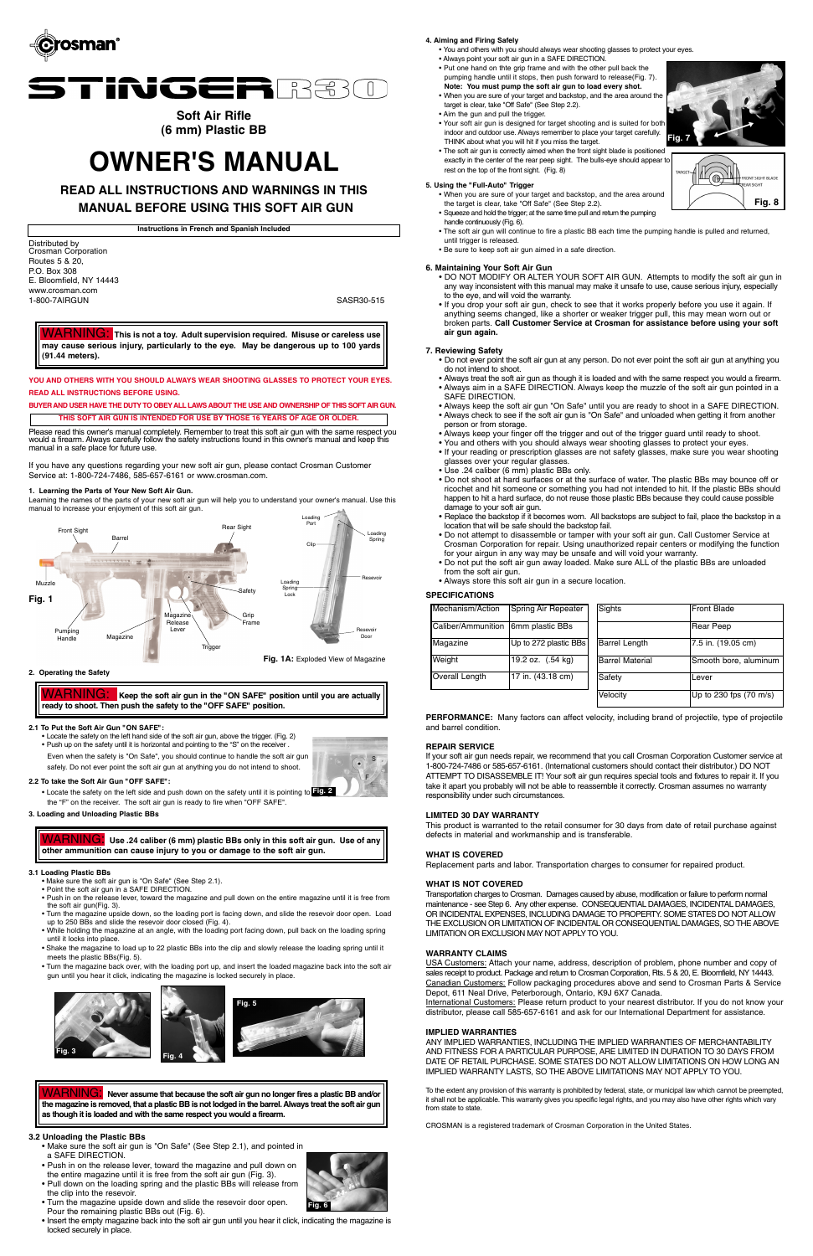



# **Soft Air Rifle (6 mm) Plastic BB**

# **OWNER'S MANUAL**

**READ ALL INSTRUCTIONS AND WARNINGS IN THIS**

# **MANUAL BEFORE USING THIS SOFT AIR GUN**

|  |  |  | Instructions in French and Spanish Included |  |
|--|--|--|---------------------------------------------|--|
|  |  |  |                                             |  |

Distributed by Crosman Corporation Routes 5 & 20, P.O. Box 308 E. Bloomfield, NY 14443 www.crosman.com 1-800-7AIRGUN SASR30-515

**YOU AND OTHERS WITH YOU SHOULD ALWAYS WEAR SHOOTING GLASSES TO PROTECT YOUR EYES. READ ALL INSTRUCTIONS BEFORE USING.**

Please read this owner's manual completely. Remember to treat this soft air gun with the same respect you would a firearm. Always carefully follow the safety instructions found in this owner's manual and keep this manual in a safe place for future use.

**BUYER AND USER HAVE THE DUTY TO OBEYALL LAWS ABOUT THE USE AND OWNERSHIP OF THIS SOFT AIR GUN. THIS SOFT AIR GUN IS INTENDED FOR USE BY THOSE 16 YEARS OF AGE OR OLDER.**

If you have any questions regarding your new soft air gun, please contact Crosman Customer Service at: 1-800-724-7486, 585-657-6161 or www.crosman.com.

WARNING: **This is not a toy. Adult supervision required. Misuse or careless use may cause serious injury, particularly to the eye. May be dangerous up to 100 yards (91.44 meters).**

#### **6. Maintaining Your Soft Air Gun**

• DO NOT MODIFY OR ALTER YOUR SOFT AIR GUN. Attempts to modify the soft air gun in any way inconsistent with this manual may make it unsafe to use, cause serious injury, especially to the eye, and will void the warranty.

• If you drop your soft air gun, check to see that it works properly before you use it again. If anything seems changed, like a shorter or weaker trigger pull, this may mean worn out or broken parts. **Call Customer Service at Crosman for assistance before using your soft air gun again.**

#### **7. Reviewing Safety**

- Do not ever point the soft air gun at any person. Do not ever point the soft air gun at anything you do not intend to shoot.
- Always treat the soft air gun as though it is loaded and with the same respect you would a firearm. • Always aim in a SAFE DIRECTION. Always keep the muzzle of the soft air gun pointed in a SAFE DIRECTION.
- Always keep the soft air gun "On Safe" until you are ready to shoot in a SAFE DIRECTION. • Always check to see if the soft air gun is "On Safe" and unloaded when getting it from another person or from storage.
- Always keep your finger off the trigger and out of the trigger guard until ready to shoot.
- You and others with you should always wear shooting glasses to protect your eyes.
- If your reading or prescription glasses are not safety glasses, make sure you wear shooting glasses over your regular glasses.
- Use .24 caliber (6 mm) plastic BBs only.
- Do not shoot at hard surfaces or at the surface of water. The plastic BBs may bounce off or ricochet and hit someone or something you had not intended to hit. If the plastic BBs should happen to hit a hard surface, do not reuse those plastic BBs because they could cause possible damage to your soft air gun.
- Replace the backstop if it becomes worn. All backstops are subject to fail, place the backstop in a location that will be safe should the backstop fail.
- Do not attempt to disassemble or tamper with your soft air gun. Call Customer Service at Crosman Corporation for repair. Using unauthorized repair centers or modifying the function for your airgun in any way may be unsafe and will void your warranty.
- Do not put the soft air gun away loaded. Make sure ALL of the plastic BBs are unloaded from the soft air gun.
- Always store this soft air gun in a secure location.

To the extent any provision of this warranty is prohibited by federal, state, or municipal law which cannot be preempted, it shall not be applicable. This warranty gives you specific legal rights, and you may also have other rights which vary from state to state.

#### **SPECIFICATIONS**

**PERFORMANCE:** Many factors can affect velocity, including brand of projectile, type of projectile and barrel condition.

- Make sure the soft air gun is "On Safe" (See Step 2.1).
- Point the soft air gun in a SAFE DIRECTION.
- Push in on the release lever, toward the magazine and pull down on the entire magazine until it is free from the soft air gun(Fig. 3). • Turn the magazine upside down, so the loading port is facing down, and slide the resevoir door open. Load
- $\mathsf{un}$  to 250 BBs and

| Mechanism/Action                   | Spring Air Repeater   | Sights                 | <b>IFront Blade</b>    |
|------------------------------------|-----------------------|------------------------|------------------------|
| Caliber/Ammunition 6mm plastic BBs |                       |                        | Rear Peep              |
| Magazine                           | Up to 272 plastic BBs | <b>Barrel Length</b>   | 7.5 in. (19.05 cm)     |
| Weight                             | 19.2 oz. (.54 kg)     | <b>Barrel Material</b> | Smooth bore, aluminum  |
| Overall Length                     | 17 in. (43.18 cm)     | Safety                 | ILever                 |
|                                    |                       | Velocity               | Up to 230 fps (70 m/s) |

#### **REPAIR SERVICE**

If your soft air gun needs repair, we recommend that you call Crosman Corporation Customer service at 1-800-724-7486 or 585-657-6161. (International customers should contact their distributor.) DO NOT ATTEMPT TO DISASSEMBLE IT! Your soft air gun requires special tools and fixtures to repair it. If you take it apart you probably will not be able to reassemble it correctly. Crosman assumes no warranty responsibility under such circumstances.

#### **LIMITED 30 DAY WARRANTY**

This product is warranted to the retail consumer for 30 days from date of retail purchase against defects in material and workmanship and is transferable.

#### **WHAT IS COVERED**

Keep the soft air gun in the "ON SAFE" position until you are actually **ready to shoot. Then push the safety to the "OFF SAFE" position.**

Replacement parts and labor. Transportation charges to consumer for repaired product.

#### **WHAT IS NOT COVERED**

Transportation charges to Crosman. Damages caused by abuse, modification or failure to perform normal maintenance - see Step 6. Any other expense. CONSEQUENTIAL DAMAGES, INCIDENTAL DAMAGES, OR INCIDENTAL EXPENSES, INCLUDING DAMAGE TO PROPERTY. SOME STATES DO NOTALLOW THE EXCLUSION OR LIMITATION OF INCIDENTAL OR CONSEQUENTIAL DAMAGES, SO THE ABOVE LIMITATION OR EXCLUSION MAY NOTAPPLY TO YOU.

#### **WARRANTY CLAIMS**

USA Customers: Attach your name, address, description of problem, phone number and copy of sales receipt to product. Package and return to Crosman Corporation, Rts. 5 & 20, E. Bloomfield, NY 14443. Canadian Customers: Follow packaging procedures above and send to Crosman Parts & Service Depot, 611 Neal Drive, Peterborough, Ontario, K9J 6X7 Canada.

International Customers: Please return product to your nearest distributor. If you do not know your distributor, please call 585-657-6161 and ask for our International Department for assistance.

### **IMPLIED WARRANTIES**

ANY IMPLIED WARRANTIES, INCLUDING THE IMPLIED WARRANTIES OF MERCHANTABILITY AND FITNESS FOR A PARTICULAR PURPOSE, ARE LIMITED IN DURATION TO 30 DAYS FROM DATE OF RETAIL PURCHASE. SOME STATES DO NOT ALLOW LIMITATIONS ON HOW LONG AN IMPLIED WARRANTY LASTS, SO THE ABOVE LIMITATIONS MAY NOT APPLY TO YOU.

CROSMAN is a registered trademark of Crosman Corporation in the United States.

#### **1. Learning the Parts of Your New Soft Air Gun.**

Learning the names of the parts of your new soft air gun will help you to understand your owner's manual. Use this manual to increase your enjoyment of this soft air gun.

**2. Operating the Safety**

#### **2.1 To Put the Soft Air Gun "ON SAFE":**

• Locate the safety on the left hand side of the soft air gun, above the trigger. (Fig. 2) • Push up on the safety until it is horizontal and pointing to the "S" on the receiver .

Even when the safety is "On Safe", you should continue to handle the soft air gun

safely. Do not ever point the soft air gun at anything you do not intend to shoot.

#### **2.2 To take the Soft Air Gun "OFF SAFE":**

• Locate the safety on the left side and push down on the safety until it is pointing to **Fig. 2** the "F" on the receiver. The soft air gun is ready to fire when "OFF SAFE".

#### **3. Loading and Unloading Plastic BBs**

#### **3.1 Loading Plastic BBs**

- 
- While holding the magazine at an angle, with the loading port facing down, pull back on the loading spring until it locks into place.
- Shake the magazine to load up to 22 plastic BBs into the clip and slowly release the loading spring until it meets the plastic BBs(Fig. 5).
- Turn the magazine back over, with the loading port up, and insert the loaded magazine back into the soft air gun until you hear it click, indicating the magazine is locked securely in place.

#### **3.2 Unloading the Plastic BBs**

- Make sure the soft air gun is "On Safe" (See Step 2.1), and pointed in a SAFE DIRECTION.
- Push in on the release lever, toward the magazine and pull down on the entire magazine until it is free from the soft air gun (Fig. 3).
- Pull down on the loading spring and the plastic BBs will release from the clip into the resevoir.
- Turn the magazine upside down and slide the resevoir door open. Pour the remaining plastic BBs out (Fig. 6).
- Insert the empty magazine back into the soft air gun until you hear it click, indicating the magazine is locked securely in place.

WARNING: **Never assume that because the soft air gun no longer fires a plastic BB and/or the magazine is removed, that a plastic BB is not lodged in the barrel. Always treat the soft air gun as though it is loaded and with the same respect you would a firearm.**

WARNING: **Use .24 caliber (6 mm) plastic BBs only in this soft air gun. Use of any other ammunition can cause injury to you or damage to the soft air gun.** 

#### **4. Aiming and Firing Safely**

- You and others with you should always wear shooting glasses to protect your eyes.
- Always point your soft air gun in a SAFE DIRECTION.
- Put one hand on thte grip frame and with the other pull back the pumping handle until it stops, then push forward to release(Fig. 7).
- **Note: You must pump the soft air gun to load every shot.** • When you are sure of your target and backstop, and the area around the
- target is clear, take "Off Safe" (See Step 2.2). • Aim the gun and pull the trigger.
- Your soft air gun is designed for target shooting and is suited for both indoor and outdoor use. Always remember to place your target carefully.
- THINK about what you will hit if you miss the target. • The soft air gun is correctly aimed when the front sight blade is positioned exactly in the center of the rear peep sight. The bulls-eye should appear to rest on the top of the front sight. (Fig. 8)

#### **5. Using the "Full-Auto" Trigger**

• When you are sure of your target and backstop, and the area around the target is clear, take "Off Safe" (See Step 2.2).

- Squeeze and hold the trigger; at the same time pull and return the pumping
- handle continuously (Fig. 6).
- The soft air gun will continue to fire a plastic BB each time the pumping handle is pulled and returned, until trigger is released.
- Be sure to keep soft air gun aimed in a safe direction.











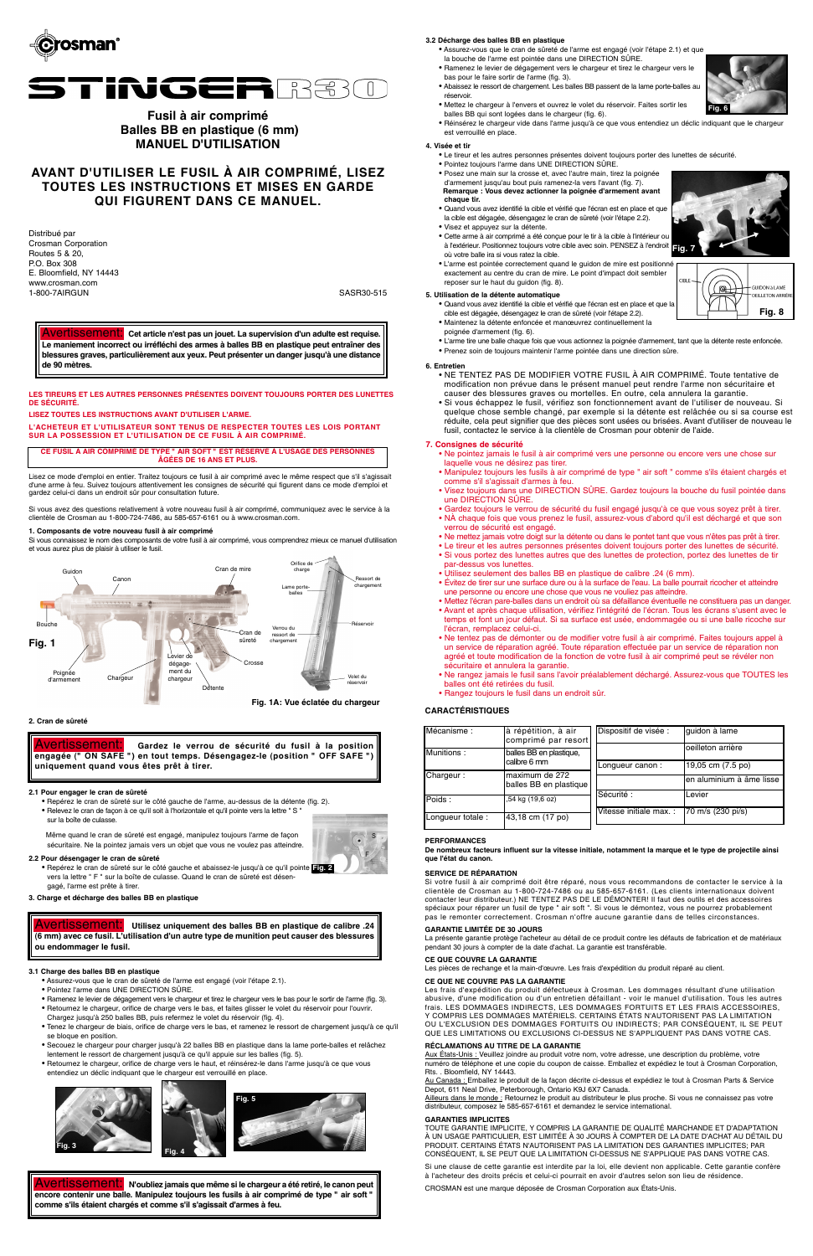



# **Fusil à air comprimé Balles BB en plastique (6 mm) MANUEL D'UTILISATION**

Distribué par Crosman Corporation Routes 5 & 20, P.O. Box 308 E. Bloomfield, NY 14443 www.crosman.com 1-800-7AIRGUN SASR30-515

# **AVANT D'UTILISER LE FUSIL À AIR COMPRIMÉ, LISEZ TOUTES LES INSTRUCTIONS ET MISES EN GARDE QUI FIGURENT DANS CE MANUEL.**

**LES TIREURS ET LES AUTRES PERSONNES PRÉSENTES DOIVENT TOUJOURS PORTER DES LUNETTES DE SÉCURITÉ.**

**LISEZ TOUTES LES INSTRUCTIONS AVANT D'UTILISER L'ARME.**

**L'ACHETEUR ET L'UTILISATEUR SONT TENUS DE RESPECTER TOUTES LES LOIS PORTANT SUR LA POSSESSION ET L'UTILISATION DE CE FUSIL À AIR COMPRIMÉ.**

Lisez ce mode d'emploi en entier. Traitez toujours ce fusil à air comprimé avec le même respect que s'il s'agissait d'une arme à feu. Suivez toujours attentivement les consignes de sécurité qui figurent dans ce mode d'emploi et gardez celui-ci dans un endroit sûr pour consultation future.

Si vous avez des questions relativement à votre nouveau fusil à air comprimé, communiquez avec le service à la clientèle de Crosman au 1-800-724-7486, au 585-657-6161 ou à www.crosman.com.

Avertissement: **Cet article n'est pas un jouet. La supervision d'un adulte est requise. Le maniement incorrect ou irréfléchi des armes à balles BB en plastique peut entraîner des blessures graves, particulièrement aux yeux. Peut présenter un danger jusqu'à une distance de 90 mètres. 6. Entretien**

- NE TENTEZ PAS DE MODIFIER VOTRE FUSIL À AIR COMPRIMÉ. Toute tentative de modification non prévue dans le présent manuel peut rendre l'arme non sécuritaire et causer des blessures graves ou mortelles. En outre, cela annulera la garantie. • Si vous échappez le fusil, vérifiez son fonctionnement avant de l'utiliser de nouveau. Si quelque chose semble changé, par exemple si la détente est relâchée ou si sa course est réduite, cela peut signifier que des pièces sont usées ou brisées. Avant d'utiliser de nouveau le
	- fusil, contactez le service à la clientèle de Crosman pour obtenir de l'aide.

#### **7. Consignes de sécurité**

- Ne pointez jamais le fusil à air comprimé vers une personne ou encore vers une chose sur laquelle vous ne désirez pas tirer.
- Manipulez toujours les fusils à air comprimé de type " air soft " comme s'ils étaient chargés et comme s'il s'agissait d'armes à feu.
- Visez toujours dans une DIRECTION SÛRE. Gardez toujours la bouche du fusil pointée dans une DIRECTION SÛRE.
- Gardez toujours le verrou de sécurité du fusil engagé jusqu'à ce que vous soyez prêt à tirer. • NÀ chaque fois que vous prenez le fusil, assurez-vous d'abord qu'il est déchargé et que son verrou de sécurité est engagé.
- Ne mettez jamais votre doigt sur la détente ou dans le pontet tant que vous n'êtes pas prêt à tirer.
- Le tireur et les autres personnes présentes doivent toujours porter des lunettes de sécurité.
- Si vous portez des lunettes autres que des lunettes de protection, portez des lunettes de tir par-dessus vos lunettes.
- Utilisez seulement des balles BB en plastique de calibre .24 (6 mm).
- Évitez de tirer sur une surface dure ou à la surface de l'eau. La balle pourrait ricocher et atteindre une personne ou encore une chose que vous ne vouliez pas atteindre.
- Mettez l'écran pare-balles dans un endroit où sa défaillance éventuelle ne constituera pas un danger.
- Avant et après chaque utilisation, vérifiez l'intégrité de l'écran. Tous les écrans s'usent avec le temps et font un jour défaut. Si sa surface est usée, endommagée ou si une balle ricoche sur l'écran, remplacez celui-ci.
- Ne tentez pas de démonter ou de modifier votre fusil à air comprimé. Faites toujours appel à un service de réparation agréé. Toute réparation effectuée par un service de réparation non agréé et toute modification de la fonction de votre fusil à air comprimé peut se révéler non sécuritaire et annulera la garantie.
- Ne rangez jamais le fusil sans l'avoir préalablement déchargé. Assurez-vous que TOUTES les balles ont été retirées du fusil.
- Rangez toujours le fusil dans un endroit sûr.

#### **CARACTÉRISTIQUES**

#### **PERFORMANCES**

**De nombreux facteurs influent sur la vitesse initiale, notamment la marque et le type de projectile ainsi que l'état du canon.**

| loeilleton arrière<br>Munitions:<br>balles BB en plastique,<br>calibre 6 mm<br>19,05 cm (7.5 po)<br>Longueur canon:<br>Chargeur:<br>Imaximum de 272<br>balles BB en plastique<br>Sécurité :<br>Levier<br>Poids:<br>,54 kg (19,6 oz)<br>Vitesse initiale max. :<br>70 m/s (230 pi/s) | Mécanisme :       | à répétition, à air<br>comprimé par resort | Dispositif de visée : | guidon à lame            |
|-------------------------------------------------------------------------------------------------------------------------------------------------------------------------------------------------------------------------------------------------------------------------------------|-------------------|--------------------------------------------|-----------------------|--------------------------|
|                                                                                                                                                                                                                                                                                     |                   |                                            |                       |                          |
|                                                                                                                                                                                                                                                                                     |                   |                                            |                       |                          |
|                                                                                                                                                                                                                                                                                     |                   |                                            |                       | en aluminium à âme lisse |
|                                                                                                                                                                                                                                                                                     |                   |                                            |                       |                          |
|                                                                                                                                                                                                                                                                                     | Longueur totale : | 43,18 cm (17 po)                           |                       |                          |

#### **SERVICE DE RÉPARATION**

Si votre fusil à air comprimé doit être réparé, nous vous recommandons de contacter le service à la clientèle de Crosman au 1-800-724-7486 ou au 585-657-6161. (Les clients internationaux doivent contacter leur distributeur.) NE TENTEZ PAS DE LE DÉMONTER! Il faut des outils et des accessoires spéciaux pour réparer un fusil de type " air soft ". Si vous le démontez, vous ne pourrez probablement pas le remonter correctement. Crosman n'offre aucune garantie dans de telles circonstances.

#### **GARANTIE LIMITÉE DE 30 JOURS**

La présente garantie protège l'acheteur au détail de ce produit contre les défauts de fabrication et de matériaux pendant 30 jours à compter de la date d'achat. La garantie est transférable.

#### **CE QUE COUVRE LA GARANTIE**

Les pièces de rechange et la main-d'œuvre. Les frais d'expédition du produit réparé au client.

#### **CE QUE NE COUVRE PAS LA GARANTIE**

Les frais d'expédition du produit défectueux à Crosman. Les dommages résultant d'une utilisation abusive, d'une modification ou d'un entretien défaillant - voir le manuel d'utilisation. Tous les autres frais. LES DOMMAGES INDIRECTS, LES DOMMAGES FORTUITS ET LES FRAIS ACCESSOIRES, Y COMPRIS LES DOMMAGES MATÉRIELS. CERTAINS ÉTATS N'AUTORISENT PAS LA LIMITATION OU L'EXCLUSION DES DOMMAGES FORTUITS OU INDIRECTS; PAR CONSÉQUENT, IL SE PEUT QUE LES LIMITATIONS OU EXCLUSIONS CI-DESSUS NE S'APPLIQUENT PAS DANS VOTRE CAS.

#### **RÉCLAMATIONS AU TITRE DE LA GARANTIE**

- · Quand vous avez identifié la cible et vérifié que l'écran est en place et que
- cible est dégagée, désengagez le cran de sûreté (voir l'étape 2.2).
- Maintenez la détente enfoncée et manœuvrez continuellement la
- poignée d'armement (fig. 6).
- L'arme tire une balle chaque fois que vous actionnez la poignée d'armement, tant que la détente reste enfoncée.
- Prenez soin de toujours maintenir l'arme pointée dans une direction sûre.

Aux États-Unis : Veuillez joindre au produit votre nom, votre adresse, une description du problème, votre numéro de téléphone et une copie du coupon de caisse. Emballez et expédiez le tout à Crosman Corporation, Rts. . Bloomfield, NY 14443.

Au Canada : Emballez le produit de la façon décrite ci-dessus et expédiez le tout à Crosman Parts & Service Depot, 611 Neal Drive, Peterborough, Ontario K9J 6X7 Canada.

Ailleurs dans le monde : Retournez le produit au distributeur le plus proche. Si vous ne connaissez pas votre distributeur, composez le 585-657-6161 et demandez le service international.

#### **GARANTIES IMPLICITES**

TOUTE GARANTIE IMPLICITE, Y COMPRIS LA GARANTIE DE QUALITÉ MARCHANDE ET D'ADAPTATION À UN USAGE PARTICULIER, EST LIMITÉE À 30 JOURS À COMPTER DE LA DATE D'ACHAT AU DÉTAIL DU PRODUIT. CERTAINS ÉTATS N'AUTORISENT PAS LA LIMITATION DES GARANTIES IMPLICITES; PAR CONSÉQUENT, IL SE PEUT QUE LA LIMITATION CI-DESSUS NE S'APPLIQUE PAS DANS VOTRE CAS.

Si une clause de cette garantie est interdite par la loi, elle devient non applicable. Cette garantie confère à l'acheteur des droits précis et celui-ci pourrait en avoir d'autres selon son lieu de résidence.

CROSMAN est une marque déposée de Crosman Corporation aux États-Unis.

**CE FUSIL À AIR COMPRIMÉ DE TYPE " AIR SOFT " EST RÉSERVÉ À L'USAGE DES PERSONNES ÂGÉES DE 16 ANS ET PLUS.**

#### **1. Composants de votre nouveau fusil à air comprimé**

Si vous connaissez le nom des composants de votre fusil à air comprimé, vous comprendrez mieux ce manuel d'utilisation et vous aurez plus de plaisir à utiliser le fusil.

#### **2. Cran de sûreté**

#### **2.1 Pour engager le cran de sûreté**

- Repérez le cran de sûreté sur le côté gauche de l'arme, au-dessus de la détente (fig. 2). • Relevez le cran de façon à ce qu'il soit à l'horizontale et qu'il pointe vers la lettre " S "
- sur la boîte de culasse.

Même quand le cran de sûreté est engagé, manipulez toujours l'arme de façon sécuritaire. Ne la pointez jamais vers un objet que vous ne voulez pas atteindre.

#### **2.2 Pour désengager le cran de sûreté**

• Repérez le cran de sûreté sur le côté gauche et abaissez-le jusqu'à ce qu'il pointe **Fig. 2** vers la lettre " F " sur la boîte de culasse. Quand le cran de sûreté est désengagé, l'arme est prête à tirer.

#### **3. Charge et décharge des balles BB en plastique**



#### **3.1 Charge des balles BB en plastique**

- Assurez-vous que le cran de sûreté de l'arme est engagé (voir l'étape 2.1).
- Pointez l'arme dans UNE DIRECTION SÛRE.
- Ramenez le levier de dégagement vers le chargeur et tirez le chargeur vers le bas pour le sortir de l'arme (fig. 3).
- Retournez le chargeur, orifice de charge vers le bas, et faites glisser le volet du réservoir pour l'ouvrir. Chargez jusqu'à 250 balles BB, puis refermez le volet du réservoir (fig. 4).
- Tenez le chargeur de biais, orifice de charge vers le bas, et ramenez le ressort de chargement jusqu'à ce qu'il se bloque en position.
- Secouez le chargeur pour charger jusqu'à 22 balles BB en plastique dans la lame porte-balles et relâchez lentement le ressort de chargement jusqu'à ce qu'il appuie sur les balles (fig. 5).
- Retournez le chargeur, orifice de charge vers le haut, et réinsérez-le dans l'arme jusqu'à ce que vous entendiez un déclic indiquant que le chargeur est verrouillé en place.



Avertissement: **Gardez le verrou de sécurité du fusil à la position engagée (" ON SAFE ") en tout temps. Désengagez-le (position " OFF SAFE ") uniquement quand vous êtes prêt à tirer.** 

Avertissement: **Utilisez uniquement des balles BB en plastique de calibre .24 (6 mm) avec ce fusil. L'utilisation d'un autre type de munition peut causer des blessures ou endommager le fusil.**



#### **3.2 Décharge des balles BB en plastique**

- Assurez-vous que le cran de sûreté de l'arme est engagé (voir l'étape 2.1) et que la bouche de l'arme est pointée dans une DIRECTION SÛRE.
- Ramenez le levier de dégagement vers le chargeur et tirez le chargeur vers le bas pour le faire sortir de l'arme (fig. 3).
- Abaissez le ressort de chargement. Les balles BB passent de la lame porte-balles au réservoir.
- Mettez le chargeur à l'envers et ouvrez le volet du réservoir. Faites sortir les balles BB qui sont logées dans le chargeur (fig. 6).
- Réinsérez le chargeur vide dans l'arme jusqu'à ce que vous entendiez un déclic indiquant que le chargeur est verrouillé en place.

#### **4. Visée et tir**

- Le tireur et les autres personnes présentes doivent toujours porter des lunettes de sécurité. • Pointez toujours l'arme dans UNE DIRECTION SÛRE.
	- Posez une main sur la crosse et, avec l'autre main, tirez la poignée d'armement jusqu'au bout puis ramenez-la vers l'avant (fig. 7). **Remarque : Vous devez actionner la poignée d'armement avant**
	- **chaque tir.** • Quand vous avez identifié la cible et vérifié que l'écran est en place et que
	- la cible est dégagée, désengagez le cran de sûreté (voir l'étape 2.2). • Visez et appuyez sur la détente.
	- Cette arme à air comprimé a été conçue pour le tir à la cible à l'intérieur ou
	- à l'extérieur. Positionnez toujours votre cible avec soin. PENSEZ à l'endroit où votre balle ira si vous ratez la cible. • L'arme est pointée correctement quand le guidon de mire est positionné
- exactement au centre du cran de mire. Le point d'impact doit sembler reposer sur le haut du guidon (fig. 8).

#### **5. Utilisation de la détente automatique**

Avertissement: **N'oubliez jamais que même si le chargeur a été retiré, le canon peut encore contenir une balle. Manipulez toujours les fusils à air comprimé de type " air soft " comme s'ils étaient chargés et comme s'il s'agissait d'armes à feu.**